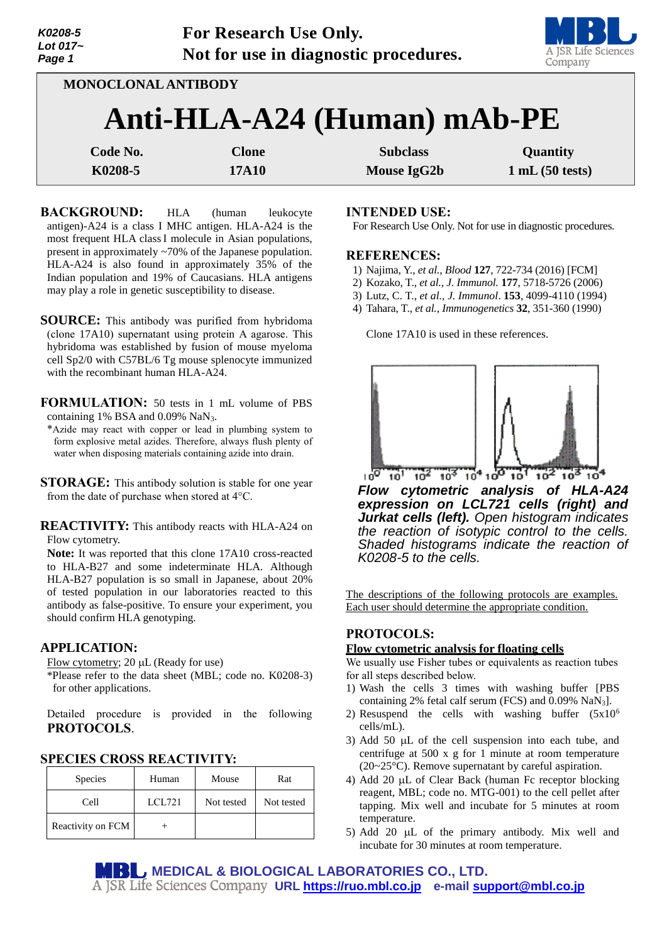| Lot $017-$<br>Page 1 | Not for use in diagnostic procedures. |  |  |
|----------------------|---------------------------------------|--|--|
|                      |                                       |  |  |
| K0208-5              | <b>For Research Use Only.</b>         |  |  |
|                      |                                       |  |  |



**MONOCLONAL ANTIBODY**

# **Anti-HLA-A24 (Human) mAb-PE**

| Code No. | Clone | <b>Subclass</b> | Quantity       |
|----------|-------|-----------------|----------------|
| K0208-5  | 17A10 | Mouse IgG2b     | 1 mL(50 tests) |

**BACKGROUND:** HLA (human leukocyte antigen)-A24 is a class I MHC antigen. HLA-A24 is the most frequent HLA classI molecule in Asian populations, present in approximately ~70% of the Japanese population. HLA-A24 is also found in approximately 35% of the Indian population and 19% of Caucasians. HLA antigens may play a role in genetic susceptibility to disease.

**SOURCE:** This antibody was purified from hybridoma (clone 17A10) supernatant using protein A agarose. This hybridoma was established by fusion of mouse myeloma cell Sp2/0 with C57BL/6 Tg mouse splenocyte immunized with the recombinant human HLA-A24.

**FORMULATION:** 50 tests in 1 mL volume of PBS containing 1% BSA and 0.09% NaN3.

\*Azide may react with copper or lead in plumbing system to form explosive metal azides. Therefore, always flush plenty of water when disposing materials containing azide into drain.

**STORAGE:** This antibody solution is stable for one year from the date of purchase when stored at 4°C.

**REACTIVITY:** This antibody reacts with HLA-A24 on Flow cytometry.

**Note:** It was reported that this clone 17A10 cross-reacted to HLA-B27 and some indeterminate HLA. Although HLA-B27 population is so small in Japanese, about 20% of tested population in our laboratories reacted to this antibody as false-positive. To ensure your experiment, you should confirm HLA genotyping.

# **APPLICATION:**

- Flow cytometry;  $20 \mu L$  (Ready for use)
- \*Please refer to the data sheet (MBL; code no. K0208-3) for other applications.

Detailed procedure is provided in the following **PROTOCOLS**.

| <b>Species</b>    | Human  | Mouse      | Rat        |
|-------------------|--------|------------|------------|
| Cell              | LCL721 | Not tested | Not tested |
| Reactivity on FCM |        |            |            |

# **INTENDED USE:**

For Research Use Only. Not for use in diagnostic procedures.

## **REFERENCES:**

- 1) Najima, Y., *et al., Blood* **127**, 722-734 (2016) [FCM]
- 2) Kozako, T., *et al., J. Immunol.* **177**, 5718-5726 (2006)
- 3) Lutz, C. T., *et al., J. Immunol*. **153**, 4099-4110 (1994)
- 4) Tahara, T., *et al., Immunogenetics* **32**, 351-360 (1990)

Clone 17A10 is used in these references.



*Flow cytometric analysis of HLA-A24 expression on LCL721 cells (right) and Jurkat cells (left). Open histogram indicates the reaction of isotypic control to the cells. Shaded histograms indicate the reaction of K0208-5 to the cells.*

The descriptions of the following protocols are examples. Each user should determine the appropriate condition.

# **PROTOCOLS:**

## **Flow cytometric analysis for floating cells**

We usually use Fisher tubes or equivalents as reaction tubes for all steps described below.

- 1) Wash the cells 3 times with washing buffer [PBS containing 2% fetal calf serum (FCS) and 0.09% NaN3].
- 2) Resuspend the cells with washing buffer  $(5x10^6)$ cells/mL).
- 3) Add 50  $\mu$ L of the cell suspension into each tube, and centrifuge at 500 x g for 1 minute at room temperature (20~25°C). Remove supernatant by careful aspiration.
- 4) Add 20 µL of Clear Back (human Fc receptor blocking reagent, MBL; code no. MTG-001) to the cell pellet after tapping. Mix well and incubate for 5 minutes at room temperature.
- 5) Add 20  $\mu$ L of the primary antibody. Mix well and incubate for 30 minutes at room temperature.